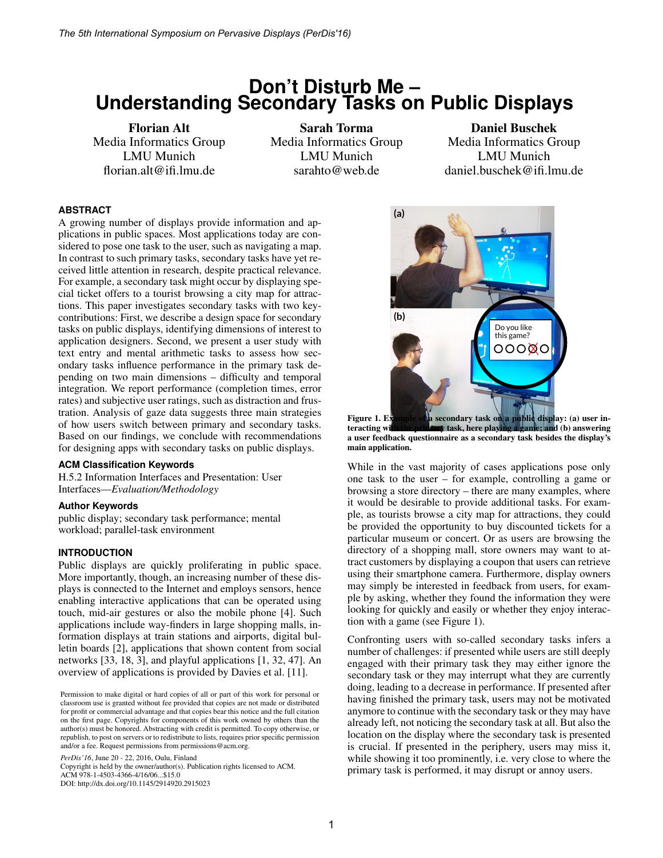# **Don't Disturb Me – Understanding Secondary Tasks on Public Displays**

Florian Alt Media Informatics Group LMU Munich florian.alt@ifi.lmu.de

Sarah Torma Media Informatics Group LMU Munich sarahto@web.de

## Daniel Buschek Media Informatics Group LMU Munich daniel.buschek@ifi.lmu.de

## **ABSTRACT**

A growing number of displays provide information and applications in public spaces. Most applications today are considered to pose one task to the user, such as navigating a map. In contrast to such primary tasks, secondary tasks have yet received little attention in research, despite practical relevance. For example, a secondary task might occur by displaying special ticket offers to a tourist browsing a city map for attractions. This paper investigates secondary tasks with two keycontributions: First, we describe a design space for secondary tasks on public displays, identifying dimensions of interest to application designers. Second, we present a user study with text entry and mental arithmetic tasks to assess how secondary tasks influence performance in the primary task depending on two main dimensions – difficulty and temporal integration. We report performance (completion times, error rates) and subjective user ratings, such as distraction and frustration. Analysis of gaze data suggests three main strategies of how users switch between primary and secondary tasks. Based on our findings, we conclude with recommendations for designing apps with secondary tasks on public displays.

#### **ACM Classification Keywords**

H.5.2 Information Interfaces and Presentation: User Interfaces—*Evaluation/Methodology*

#### **Author Keywords**

public display; secondary task performance; mental workload; parallel-task environment

## **INTRODUCTION**

Public displays are quickly proliferating in public space. More importantly, though, an increasing number of these displays is connected to the Internet and employs sensors, hence enabling interactive applications that can be operated using touch, mid-air gestures or also the mobile phone [4]. Such applications include way-finders in large shopping malls, information displays at train stations and airports, digital bulletin boards [2], applications that shown content from social networks [33, 18, 3], and playful applications [1, 32, 47]. An overview of applications is provided by Davies et al. [11].

*PerDis'16*, June 20 - 22, 2016, Oulu, Finland

Copyright is held by the owner/author(s). Publication rights licensed to ACM. ACM 978-1-4503-4366-4/16/06...\$15.0

DOI: http://dx.doi.org/10.1145/2914920.2915023



Figure 1. Example of a secondary task on a public display: (a) user interacting wi<mark>th the primary</mark> task, here playing a game; and (b) answering a user feedback questionnaire as a secondary task besides the display's main application.

While in the vast majority of cases applications pose only one task to the user – for example, controlling a game or browsing a store directory – there are many examples, where it would be desirable to provide additional tasks. For example, as tourists browse a city map for attractions, they could be provided the opportunity to buy discounted tickets for a particular museum or concert. Or as users are browsing the directory of a shopping mall, store owners may want to attract customers by displaying a coupon that users can retrieve using their smartphone camera. Furthermore, display owners may simply be interested in feedback from users, for example by asking, whether they found the information they were looking for quickly and easily or whether they enjoy interaction with a game (see Figure 1).

Confronting users with so-called secondary tasks infers a number of challenges: if presented while users are still deeply engaged with their primary task they may either ignore the secondary task or they may interrupt what they are currently doing, leading to a decrease in performance. If presented after having finished the primary task, users may not be motivated anymore to continue with the secondary task or they may have already left, not noticing the secondary task at all. But also the location on the display where the secondary task is presented is crucial. If presented in the periphery, users may miss it, while showing it too prominently, i.e. very close to where the primary task is performed, it may disrupt or annoy users.

Permission to make digital or hard copies of all or part of this work for personal or classroom use is granted without fee provided that copies are not made or distributed for profit or commercial advantage and that copies bear this notice and the full citation on the first page. Copyrights for components of this work owned by others than the author(s) must be honored. Abstracting with credit is permitted. To copy otherwise, or republish, to post on servers or to redistribute to lists, requires prior specific permission and/or a fee. Request permissions from permissions@acm.org.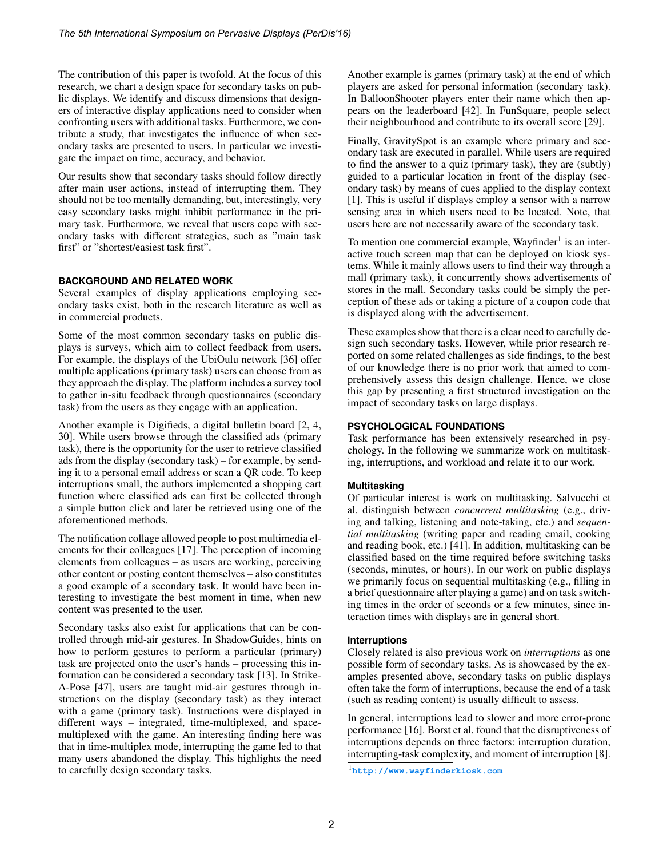The contribution of this paper is twofold. At the focus of this research, we chart a design space for secondary tasks on public displays. We identify and discuss dimensions that designers of interactive display applications need to consider when confronting users with additional tasks. Furthermore, we contribute a study, that investigates the influence of when secondary tasks are presented to users. In particular we investigate the impact on time, accuracy, and behavior.

Our results show that secondary tasks should follow directly after main user actions, instead of interrupting them. They should not be too mentally demanding, but, interestingly, very easy secondary tasks might inhibit performance in the primary task. Furthermore, we reveal that users cope with secondary tasks with different strategies, such as "main task first" or "shortest/easiest task first".

## **BACKGROUND AND RELATED WORK**

Several examples of display applications employing secondary tasks exist, both in the research literature as well as in commercial products.

Some of the most common secondary tasks on public displays is surveys, which aim to collect feedback from users. For example, the displays of the UbiOulu network [36] offer multiple applications (primary task) users can choose from as they approach the display. The platform includes a survey tool to gather in-situ feedback through questionnaires (secondary task) from the users as they engage with an application.

Another example is Digifieds, a digital bulletin board [2, 4, 30]. While users browse through the classified ads (primary task), there is the opportunity for the user to retrieve classified ads from the display (secondary task) – for example, by sending it to a personal email address or scan a QR code. To keep interruptions small, the authors implemented a shopping cart function where classified ads can first be collected through a simple button click and later be retrieved using one of the aforementioned methods.

The notification collage allowed people to post multimedia elements for their colleagues [17]. The perception of incoming elements from colleagues – as users are working, perceiving other content or posting content themselves – also constitutes a good example of a secondary task. It would have been interesting to investigate the best moment in time, when new content was presented to the user.

Secondary tasks also exist for applications that can be controlled through mid-air gestures. In ShadowGuides, hints on how to perform gestures to perform a particular (primary) task are projected onto the user's hands – processing this information can be considered a secondary task [13]. In Strike-A-Pose [47], users are taught mid-air gestures through instructions on the display (secondary task) as they interact with a game (primary task). Instructions were displayed in different ways – integrated, time-multiplexed, and spacemultiplexed with the game. An interesting finding here was that in time-multiplex mode, interrupting the game led to that many users abandoned the display. This highlights the need to carefully design secondary tasks.

Another example is games (primary task) at the end of which players are asked for personal information (secondary task). In BalloonShooter players enter their name which then appears on the leaderboard [42]. In FunSquare, people select their neighbourhood and contribute to its overall score [29].

Finally, GravitySpot is an example where primary and secondary task are executed in parallel. While users are required to find the answer to a quiz (primary task), they are (subtly) guided to a particular location in front of the display (secondary task) by means of cues applied to the display context [1]. This is useful if displays employ a sensor with a narrow sensing area in which users need to be located. Note, that users here are not necessarily aware of the secondary task.

To mention one commercial example, Wayfinder<sup>1</sup> is an interactive touch screen map that can be deployed on kiosk systems. While it mainly allows users to find their way through a mall (primary task), it concurrently shows advertisements of stores in the mall. Secondary tasks could be simply the perception of these ads or taking a picture of a coupon code that is displayed along with the advertisement.

These examples show that there is a clear need to carefully design such secondary tasks. However, while prior research reported on some related challenges as side findings, to the best of our knowledge there is no prior work that aimed to comprehensively assess this design challenge. Hence, we close this gap by presenting a first structured investigation on the impact of secondary tasks on large displays.

## **PSYCHOLOGICAL FOUNDATIONS**

Task performance has been extensively researched in psychology. In the following we summarize work on multitasking, interruptions, and workload and relate it to our work.

## **Multitasking**

Of particular interest is work on multitasking. Salvucchi et al. distinguish between *concurrent multitasking* (e.g., driving and talking, listening and note-taking, etc.) and *sequential multitasking* (writing paper and reading email, cooking and reading book, etc.) [41]. In addition, multitasking can be classified based on the time required before switching tasks (seconds, minutes, or hours). In our work on public displays we primarily focus on sequential multitasking (e.g., filling in a brief questionnaire after playing a game) and on task switching times in the order of seconds or a few minutes, since interaction times with displays are in general short.

## **Interruptions**

Closely related is also previous work on *interruptions* as one possible form of secondary tasks. As is showcased by the examples presented above, secondary tasks on public displays often take the form of interruptions, because the end of a task (such as reading content) is usually difficult to assess.

In general, interruptions lead to slower and more error-prone performance [16]. Borst et al. found that the disruptiveness of interruptions depends on three factors: interruption duration, interrupting-task complexity, and moment of interruption [8].

<sup>1</sup>**<http://www.wayfinderkiosk.com>**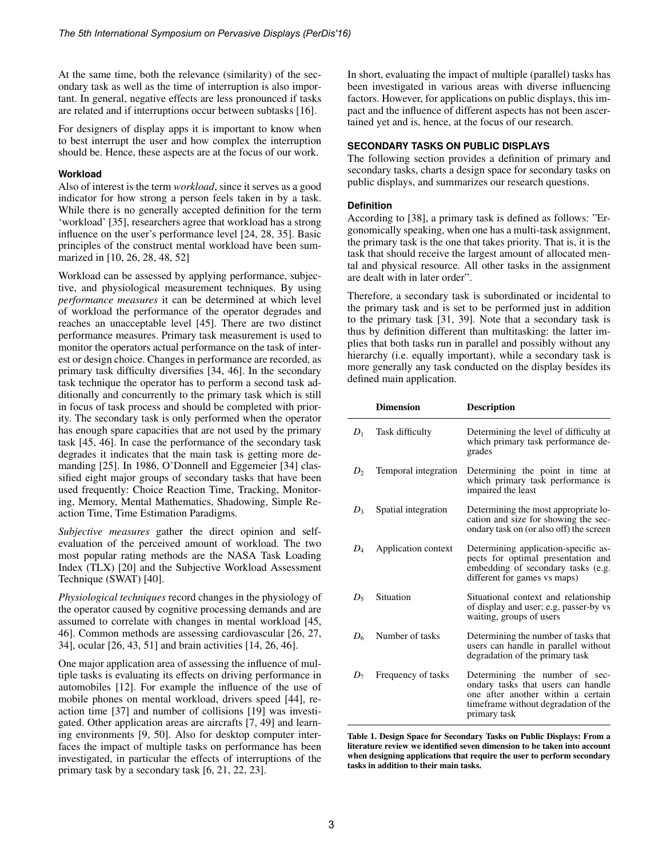At the same time, both the relevance (similarity) of the secondary task as well as the time of interruption is also important. In general, negative effects are less pronounced if tasks are related and if interruptions occur between subtasks [16].

For designers of display apps it is important to know when to best interrupt the user and how complex the interruption should be. Hence, these aspects are at the focus of our work.

#### **Workload**

Also of interest is the term *workload*, since it serves as a good indicator for how strong a person feels taken in by a task. While there is no generally accepted definition for the term 'workload' [35], researchers agree that workload has a strong influence on the user's performance level [24, 28, 35]. Basic principles of the construct mental workload have been summarized in [10, 26, 28, 48, 52]

Workload can be assessed by applying performance, subjective, and physiological measurement techniques. By using *performance measures* it can be determined at which level of workload the performance of the operator degrades and reaches an unacceptable level [45]. There are two distinct performance measures. Primary task measurement is used to monitor the operators actual performance on the task of interest or design choice. Changes in performance are recorded, as primary task difficulty diversifies [34, 46]. In the secondary task technique the operator has to perform a second task additionally and concurrently to the primary task which is still in focus of task process and should be completed with priority. The secondary task is only performed when the operator has enough spare capacities that are not used by the primary task [45, 46]. In case the performance of the secondary task degrades it indicates that the main task is getting more demanding [25]. In 1986, O'Donnell and Eggemeier [34] classified eight major groups of secondary tasks that have been used frequently: Choice Reaction Time, Tracking, Monitoring, Memory, Mental Mathematics, Shadowing, Simple Reaction Time, Time Estimation Paradigms.

*Subjective measures* gather the direct opinion and selfevaluation of the perceived amount of workload. The two most popular rating methods are the NASA Task Loading Index (TLX) [20] and the Subjective Workload Assessment Technique (SWAT) [40].

*Physiological techniques* record changes in the physiology of the operator caused by cognitive processing demands and are assumed to correlate with changes in mental workload [45, 46]. Common methods are assessing cardiovascular [26, 27, 34], ocular [26, 43, 51] and brain activities [14, 26, 46].

One major application area of assessing the influence of multiple tasks is evaluating its effects on driving performance in automobiles [12]. For example the influence of the use of mobile phones on mental workload, drivers speed [44], reaction time [37] and number of collisions [19] was investigated. Other application areas are aircrafts [7, 49] and learning environments [9, 50]. Also for desktop computer interfaces the impact of multiple tasks on performance has been investigated, in particular the effects of interruptions of the primary task by a secondary task [6, 21, 22, 23].

In short, evaluating the impact of multiple (parallel) tasks has been investigated in various areas with diverse influencing factors. However, for applications on public displays, this impact and the influence of different aspects has not been ascertained yet and is, hence, at the focus of our research.

### **SECONDARY TASKS ON PUBLIC DISPLAYS**

The following section provides a definition of primary and secondary tasks, charts a design space for secondary tasks on public displays, and summarizes our research questions.

#### **Definition**

According to [38], a primary task is defined as follows: "Ergonomically speaking, when one has a multi-task assignment, the primary task is the one that takes priority. That is, it is the task that should receive the largest amount of allocated mental and physical resource. All other tasks in the assignment are dealt with in later order".

Therefore, a secondary task is subordinated or incidental to the primary task and is set to be performed just in addition to the primary task [31, 39]. Note that a secondary task is thus by definition different than multitasking: the latter implies that both tasks run in parallel and possibly without any hierarchy (i.e. equally important), while a secondary task is more generally any task conducted on the display besides its defined main application.

|       | <b>Dimension</b>      | <b>Description</b>                                                                                                                                                  |
|-------|-----------------------|---------------------------------------------------------------------------------------------------------------------------------------------------------------------|
|       | $D_1$ Task difficulty | Determining the level of difficulty at<br>which primary task performance de-<br>grades                                                                              |
| $D_2$ | Temporal integration  | Determining the point in time at<br>which primary task performance is<br>impaired the least                                                                         |
| $D_3$ | Spatial integration   | Determining the most appropriate lo-<br>cation and size for showing the sec-<br>ondary task on (or also off) the screen                                             |
| $D_4$ | Application context   | Determining application-specific as-<br>pects for optimal presentation and<br>embedding of secondary tasks (e.g.<br>different for games vs maps)                    |
|       | $D_5$ Situation       | Situational context and relationship<br>of display and user; e.g. passer-by vs<br>waiting, groups of users                                                          |
| $D_6$ | Number of tasks       | Determining the number of tasks that<br>users can handle in parallel without<br>degradation of the primary task                                                     |
| $D_7$ | Frequency of tasks    | Determining the number of sec-<br>ondary tasks that users can handle<br>one after another within a certain<br>time frame without degradation of the<br>primary task |

Table 1. Design Space for Secondary Tasks on Public Displays: From a literature review we identified seven dimension to be taken into account when designing applications that require the user to perform secondary tasks in addition to their main tasks.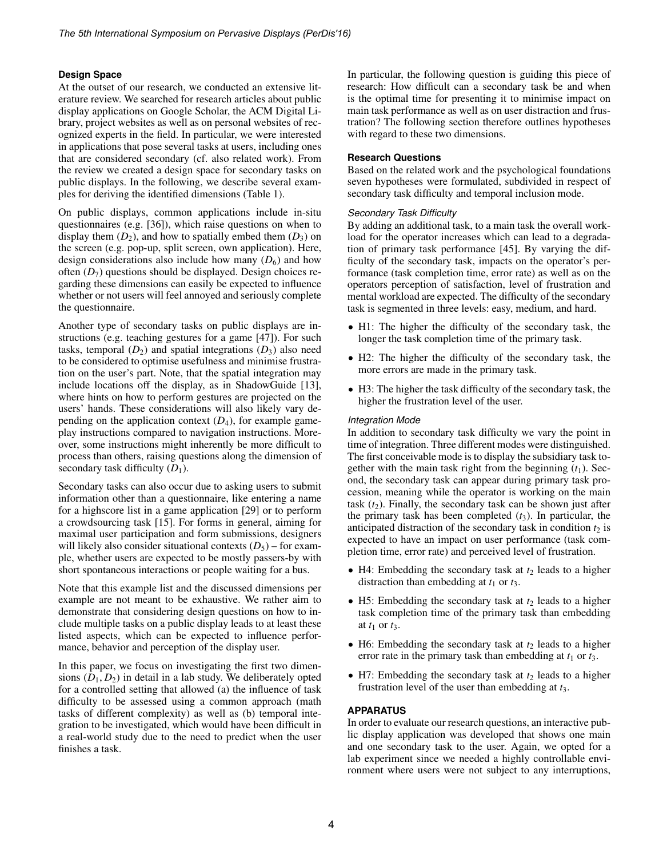## **Design Space**

At the outset of our research, we conducted an extensive literature review. We searched for research articles about public display applications on Google Scholar, the ACM Digital Library, project websites as well as on personal websites of recognized experts in the field. In particular, we were interested in applications that pose several tasks at users, including ones that are considered secondary (cf. also related work). From the review we created a design space for secondary tasks on public displays. In the following, we describe several examples for deriving the identified dimensions (Table 1).

On public displays, common applications include in-situ questionnaires (e.g. [36]), which raise questions on when to display them  $(D_2)$ , and how to spatially embed them  $(D_3)$  on the screen (e.g. pop-up, split screen, own application). Here, design considerations also include how many  $(D_6)$  and how often  $(D_7)$  questions should be displayed. Design choices regarding these dimensions can easily be expected to influence whether or not users will feel annoyed and seriously complete the questionnaire.

Another type of secondary tasks on public displays are instructions (e.g. teaching gestures for a game [47]). For such tasks, temporal  $(D_2)$  and spatial integrations  $(D_3)$  also need to be considered to optimise usefulness and minimise frustration on the user's part. Note, that the spatial integration may include locations off the display, as in ShadowGuide [13], where hints on how to perform gestures are projected on the users' hands. These considerations will also likely vary depending on the application context  $(D_4)$ , for example gameplay instructions compared to navigation instructions. Moreover, some instructions might inherently be more difficult to process than others, raising questions along the dimension of secondary task difficulty  $(D_1)$ .

Secondary tasks can also occur due to asking users to submit information other than a questionnaire, like entering a name for a highscore list in a game application [29] or to perform a crowdsourcing task [15]. For forms in general, aiming for maximal user participation and form submissions, designers will likely also consider situational contexts  $(D_5)$  – for example, whether users are expected to be mostly passers-by with short spontaneous interactions or people waiting for a bus.

Note that this example list and the discussed dimensions per example are not meant to be exhaustive. We rather aim to demonstrate that considering design questions on how to include multiple tasks on a public display leads to at least these listed aspects, which can be expected to influence performance, behavior and perception of the display user.

In this paper, we focus on investigating the first two dimensions  $(D_1, D_2)$  in detail in a lab study. We deliberately opted for a controlled setting that allowed (a) the influence of task difficulty to be assessed using a common approach (math tasks of different complexity) as well as (b) temporal integration to be investigated, which would have been difficult in a real-world study due to the need to predict when the user finishes a task.

In particular, the following question is guiding this piece of research: How difficult can a secondary task be and when is the optimal time for presenting it to minimise impact on main task performance as well as on user distraction and frustration? The following section therefore outlines hypotheses with regard to these two dimensions.

## **Research Questions**

Based on the related work and the psychological foundations seven hypotheses were formulated, subdivided in respect of secondary task difficulty and temporal inclusion mode.

## *Secondary Task Difficulty*

By adding an additional task, to a main task the overall workload for the operator increases which can lead to a degradation of primary task performance [45]. By varying the difficulty of the secondary task, impacts on the operator's performance (task completion time, error rate) as well as on the operators perception of satisfaction, level of frustration and mental workload are expected. The difficulty of the secondary task is segmented in three levels: easy, medium, and hard.

- H1: The higher the difficulty of the secondary task, the longer the task completion time of the primary task.
- H2: The higher the difficulty of the secondary task, the more errors are made in the primary task.
- H3: The higher the task difficulty of the secondary task, the higher the frustration level of the user.

## *Integration Mode*

In addition to secondary task difficulty we vary the point in time of integration. Three different modes were distinguished. The first conceivable mode is to display the subsidiary task together with the main task right from the beginning  $(t_1)$ . Second, the secondary task can appear during primary task procession, meaning while the operator is working on the main task  $(t_2)$ . Finally, the secondary task can be shown just after the primary task has been completed  $(t_3)$ . In particular, the anticipated distraction of the secondary task in condition  $t_2$  is expected to have an impact on user performance (task completion time, error rate) and perceived level of frustration.

- H4: Embedding the secondary task at  $t_2$  leads to a higher distraction than embedding at  $t_1$  or  $t_3$ .
- H5: Embedding the secondary task at  $t_2$  leads to a higher task completion time of the primary task than embedding at  $t_1$  or  $t_3$ .
- H6: Embedding the secondary task at  $t_2$  leads to a higher error rate in the primary task than embedding at  $t_1$  or  $t_3$ .
- H7: Embedding the secondary task at  $t_2$  leads to a higher frustration level of the user than embedding at *t*3.

## **APPARATUS**

In order to evaluate our research questions, an interactive public display application was developed that shows one main and one secondary task to the user. Again, we opted for a lab experiment since we needed a highly controllable environment where users were not subject to any interruptions,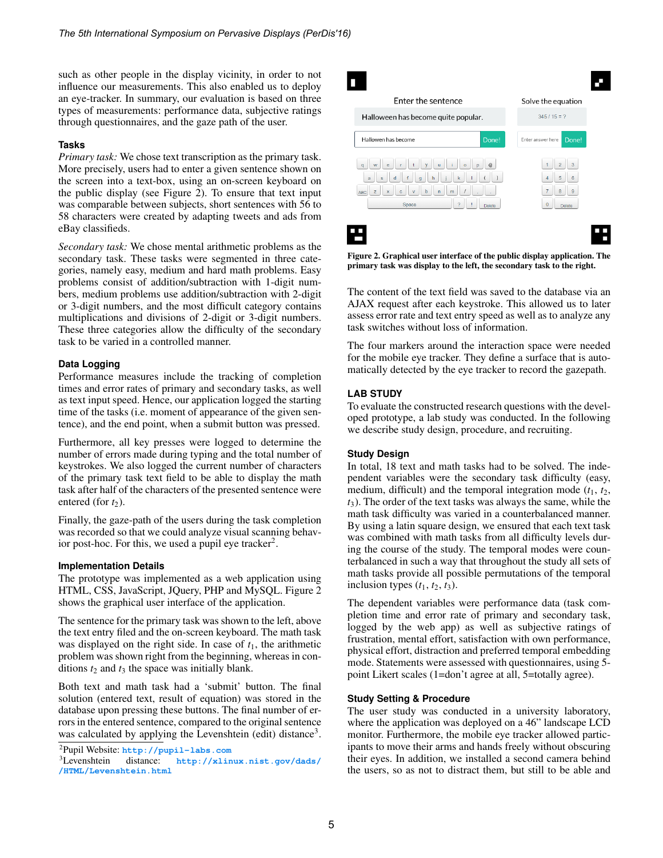such as other people in the display vicinity, in order to not influence our measurements. This also enabled us to deploy an eye-tracker. In summary, our evaluation is based on three types of measurements: performance data, subjective ratings through questionnaires, and the gaze path of the user.

#### **Tasks**

*Primary task:* We chose text transcription as the primary task. More precisely, users had to enter a given sentence shown on the screen into a text-box, using an on-screen keyboard on the public display (see Figure 2). To ensure that text input was comparable between subjects, short sentences with 56 to 58 characters were created by adapting tweets and ads from eBay classifieds.

*Secondary task:* We chose mental arithmetic problems as the secondary task. These tasks were segmented in three categories, namely easy, medium and hard math problems. Easy problems consist of addition/subtraction with 1-digit numbers, medium problems use addition/subtraction with 2-digit or 3-digit numbers, and the most difficult category contains multiplications and divisions of 2-digit or 3-digit numbers. These three categories allow the difficulty of the secondary task to be varied in a controlled manner.

## **Data Logging**

Performance measures include the tracking of completion times and error rates of primary and secondary tasks, as well as text input speed. Hence, our application logged the starting time of the tasks (i.e. moment of appearance of the given sentence), and the end point, when a submit button was pressed.

Furthermore, all key presses were logged to determine the number of errors made during typing and the total number of keystrokes. We also logged the current number of characters of the primary task text field to be able to display the math task after half of the characters of the presented sentence were entered (for  $t_2$ ).

Finally, the gaze-path of the users during the task completion was recorded so that we could analyze visual scanning behavior post-hoc. For this, we used a pupil eye tracker<sup>2</sup>.

#### **Implementation Details**

The prototype was implemented as a web application using HTML, CSS, JavaScript, JQuery, PHP and MySQL. Figure 2 shows the graphical user interface of the application.

The sentence for the primary task was shown to the left, above the text entry filed and the on-screen keyboard. The math task was displayed on the right side. In case of  $t_1$ , the arithmetic problem was shown right from the beginning, whereas in conditions  $t_2$  and  $t_3$  the space was initially blank.

Both text and math task had a 'submit' button. The final solution (entered text, result of equation) was stored in the database upon pressing these buttons. The final number of errors in the entered sentence, compared to the original sentence was calculated by applying the Levenshtein (edit) distance<sup>3</sup>.



Figure 2. Graphical user interface of the public display application. The primary task was display to the left, the secondary task to the right.

The content of the text field was saved to the database via an AJAX request after each keystroke. This allowed us to later assess error rate and text entry speed as well as to analyze any task switches without loss of information.

The four markers around the interaction space were needed for the mobile eye tracker. They define a surface that is automatically detected by the eye tracker to record the gazepath.

## **LAB STUDY**

To evaluate the constructed research questions with the developed prototype, a lab study was conducted. In the following we describe study design, procedure, and recruiting.

## **Study Design**

In total, 18 text and math tasks had to be solved. The independent variables were the secondary task difficulty (easy, medium, difficult) and the temporal integration mode  $(t_1, t_2, t_3)$ *t*3). The order of the text tasks was always the same, while the math task difficulty was varied in a counterbalanced manner. By using a latin square design, we ensured that each text task was combined with math tasks from all difficulty levels during the course of the study. The temporal modes were counterbalanced in such a way that throughout the study all sets of math tasks provide all possible permutations of the temporal inclusion types  $(t_1, t_2, t_3)$ .

The dependent variables were performance data (task completion time and error rate of primary and secondary task, logged by the web app) as well as subjective ratings of frustration, mental effort, satisfaction with own performance, physical effort, distraction and preferred temporal embedding mode. Statements were assessed with questionnaires, using 5 point Likert scales (1=don't agree at all, 5=totally agree).

## **Study Setting & Procedure**

The user study was conducted in a university laboratory, where the application was deployed on a 46" landscape LCD monitor. Furthermore, the mobile eye tracker allowed participants to move their arms and hands freely without obscuring their eyes. In addition, we installed a second camera behind the users, so as not to distract them, but still to be able and

<sup>2</sup>Pupil Website: **<http://pupil-labs.com>**

[http://xlinux.nist.gov/dads/](http://xlinux.nist.gov/dads//HTML/Levenshtein.html) **[/HTML/Levenshtein.html](http://xlinux.nist.gov/dads//HTML/Levenshtein.html)**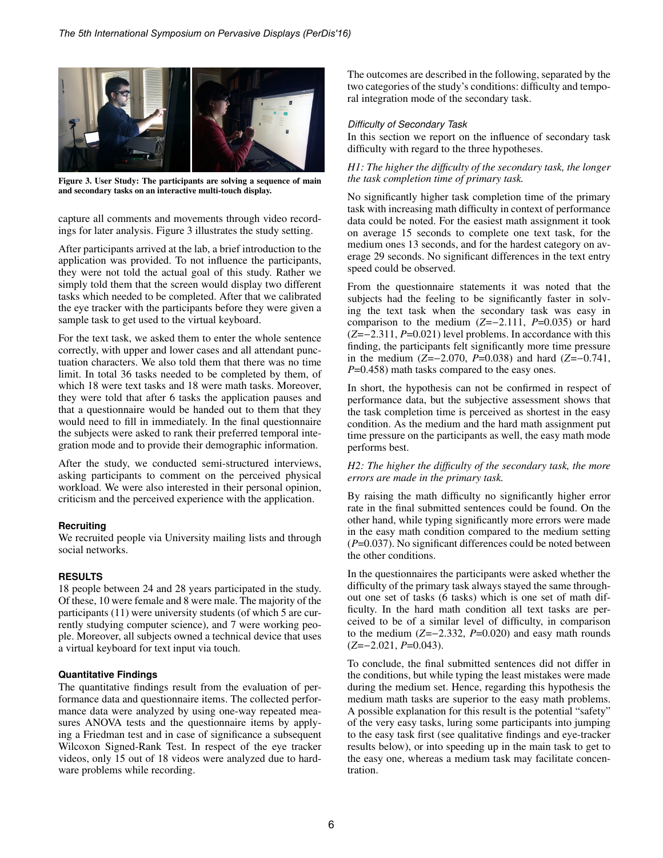

Figure 3. User Study: The participants are solving a sequence of main and secondary tasks on an interactive multi-touch display.

capture all comments and movements through video recordings for later analysis. Figure 3 illustrates the study setting.

After participants arrived at the lab, a brief introduction to the application was provided. To not influence the participants, they were not told the actual goal of this study. Rather we simply told them that the screen would display two different tasks which needed to be completed. After that we calibrated the eye tracker with the participants before they were given a sample task to get used to the virtual keyboard.

For the text task, we asked them to enter the whole sentence correctly, with upper and lower cases and all attendant punctuation characters. We also told them that there was no time limit. In total 36 tasks needed to be completed by them, of which 18 were text tasks and 18 were math tasks. Moreover, they were told that after 6 tasks the application pauses and that a questionnaire would be handed out to them that they would need to fill in immediately. In the final questionnaire the subjects were asked to rank their preferred temporal integration mode and to provide their demographic information.

After the study, we conducted semi-structured interviews, asking participants to comment on the perceived physical workload. We were also interested in their personal opinion, criticism and the perceived experience with the application.

## **Recruiting**

We recruited people via University mailing lists and through social networks.

#### **RESULTS**

18 people between 24 and 28 years participated in the study. Of these, 10 were female and 8 were male. The majority of the participants (11) were university students (of which 5 are currently studying computer science), and 7 were working people. Moreover, all subjects owned a technical device that uses a virtual keyboard for text input via touch.

## **Quantitative Findings**

The quantitative findings result from the evaluation of performance data and questionnaire items. The collected performance data were analyzed by using one-way repeated measures ANOVA tests and the questionnaire items by applying a Friedman test and in case of significance a subsequent Wilcoxon Signed-Rank Test. In respect of the eye tracker videos, only 15 out of 18 videos were analyzed due to hardware problems while recording.

The outcomes are described in the following, separated by the two categories of the study's conditions: difficulty and temporal integration mode of the secondary task.

### *Difficulty of Secondary Task*

In this section we report on the influence of secondary task difficulty with regard to the three hypotheses.

## *H1: The higher the difficulty of the secondary task, the longer the task completion time of primary task.*

No significantly higher task completion time of the primary task with increasing math difficulty in context of performance data could be noted. For the easiest math assignment it took on average 15 seconds to complete one text task, for the medium ones 13 seconds, and for the hardest category on average 29 seconds. No significant differences in the text entry speed could be observed.

From the questionnaire statements it was noted that the subjects had the feeling to be significantly faster in solving the text task when the secondary task was easy in comparison to the medium (*Z*=−2.111, *<sup>P</sup>*=0.035) or hard (*Z*=−2.311, *<sup>P</sup>*=0.021) level problems. In accordance with this finding, the participants felt significantly more time pressure in the medium (*Z*=−2.070, *<sup>P</sup>*=0.038) and hard (*Z*=−0.741, *P*=0.458) math tasks compared to the easy ones.

In short, the hypothesis can not be confirmed in respect of performance data, but the subjective assessment shows that the task completion time is perceived as shortest in the easy condition. As the medium and the hard math assignment put time pressure on the participants as well, the easy math mode performs best.

#### *H2: The higher the difficulty of the secondary task, the more errors are made in the primary task.*

By raising the math difficulty no significantly higher error rate in the final submitted sentences could be found. On the other hand, while typing significantly more errors were made in the easy math condition compared to the medium setting (*P*=0.037). No significant differences could be noted between the other conditions.

In the questionnaires the participants were asked whether the difficulty of the primary task always stayed the same throughout one set of tasks (6 tasks) which is one set of math difficulty. In the hard math condition all text tasks are perceived to be of a similar level of difficulty, in comparison to the medium (*Z*=−2.332, *<sup>P</sup>*=0.020) and easy math rounds (*Z*=−2.021, *<sup>P</sup>*=0.043).

To conclude, the final submitted sentences did not differ in the conditions, but while typing the least mistakes were made during the medium set. Hence, regarding this hypothesis the medium math tasks are superior to the easy math problems. A possible explanation for this result is the potential "safety" of the very easy tasks, luring some participants into jumping to the easy task first (see qualitative findings and eye-tracker results below), or into speeding up in the main task to get to the easy one, whereas a medium task may facilitate concentration.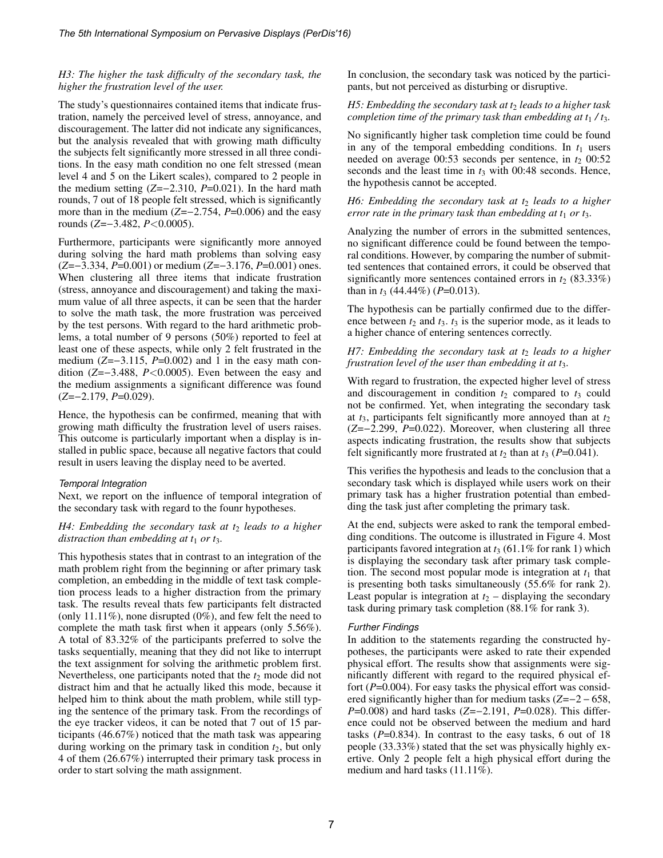## *H3: The higher the task difficulty of the secondary task, the higher the frustration level of the user.*

The study's questionnaires contained items that indicate frustration, namely the perceived level of stress, annoyance, and discouragement. The latter did not indicate any significances, but the analysis revealed that with growing math difficulty the subjects felt significantly more stressed in all three conditions. In the easy math condition no one felt stressed (mean level 4 and 5 on the Likert scales), compared to 2 people in the medium setting (*Z*=−2.310, *<sup>P</sup>*=0.021). In the hard math rounds, 7 out of 18 people felt stressed, which is significantly more than in the medium (*Z*=−2.754, *<sup>P</sup>*=0.006) and the easy rounds (*Z*=−3.482, *<sup>P</sup>*<0.0005).

Furthermore, participants were significantly more annoyed during solving the hard math problems than solving easy (*Z*=−3.334, *<sup>P</sup>*=0.001) or medium (*Z*=−3.176, *<sup>P</sup>*=0.001) ones. When clustering all three items that indicate frustration (stress, annoyance and discouragement) and taking the maximum value of all three aspects, it can be seen that the harder to solve the math task, the more frustration was perceived by the test persons. With regard to the hard arithmetic problems, a total number of 9 persons (50%) reported to feel at least one of these aspects, while only 2 felt frustrated in the medium (*Z*=−3.115, *<sup>P</sup>*=0.002) and 1 in the easy math condition (*Z*=−3.488, *<sup>P</sup>*<0.0005). Even between the easy and the medium assignments a significant difference was found (*Z*=−2.179, *<sup>P</sup>*=0.029).

Hence, the hypothesis can be confirmed, meaning that with growing math difficulty the frustration level of users raises. This outcome is particularly important when a display is installed in public space, because all negative factors that could result in users leaving the display need to be averted.

#### *Temporal Integration*

Next, we report on the influence of temporal integration of the secondary task with regard to the founr hypotheses.

## *H4: Embedding the secondary task at*  $t_2$  *leads to a higher distraction than embedding at t*<sup>1</sup> *or t*3*.*

This hypothesis states that in contrast to an integration of the math problem right from the beginning or after primary task completion, an embedding in the middle of text task completion process leads to a higher distraction from the primary task. The results reveal thats few participants felt distracted (only 11.11%), none disrupted (0%), and few felt the need to complete the math task first when it appears (only 5.56%). A total of 83.32% of the participants preferred to solve the tasks sequentially, meaning that they did not like to interrupt the text assignment for solving the arithmetic problem first. Nevertheless, one participants noted that the  $t_2$  mode did not distract him and that he actually liked this mode, because it helped him to think about the math problem, while still typing the sentence of the primary task. From the recordings of the eye tracker videos, it can be noted that 7 out of 15 participants (46.67%) noticed that the math task was appearing during working on the primary task in condition  $t_2$ , but only 4 of them (26.67%) interrupted their primary task process in order to start solving the math assignment.

In conclusion, the secondary task was noticed by the participants, but not perceived as disturbing or disruptive.

#### *H5: Embedding the secondary task at t*<sup>2</sup> *leads to a higher task completion time of the primary task than embedding at*  $t_1 / t_3$ *.*

No significantly higher task completion time could be found in any of the temporal embedding conditions. In  $t_1$  users needed on average  $00:53$  seconds per sentence, in  $t_2$   $00:52$ seconds and the least time in  $t_3$  with 00:48 seconds. Hence, the hypothesis cannot be accepted.

#### *H6: Embedding the secondary task at*  $t_2$  *leads to a higher error rate in the primary task than embedding at*  $t_1$  *or*  $t_3$ *.*

Analyzing the number of errors in the submitted sentences, no significant difference could be found between the temporal conditions. However, by comparing the number of submitted sentences that contained errors, it could be observed that significantly more sentences contained errors in  $t_2$  (83.33%) than in *<sup>t</sup>*<sup>3</sup> (44.44%) (*P*=0.013).

The hypothesis can be partially confirmed due to the difference between  $t_2$  and  $t_3$ .  $t_3$  is the superior mode, as it leads to a higher chance of entering sentences correctly.

### *H7: Embedding the secondary task at*  $t_2$  *leads to a higher frustration level of the user than embedding it at t*3*.*

With regard to frustration, the expected higher level of stress and discouragement in condition  $t_2$  compared to  $t_3$  could not be confirmed. Yet, when integrating the secondary task at  $t_3$ , participants felt significantly more annoyed than at  $t_2$ (*Z*=−2.299, *<sup>P</sup>*=0.022). Moreover, when clustering all three aspects indicating frustration, the results show that subjects felt significantly more frustrated at  $t_2$  than at  $t_3$  ( $P=0.041$ ).

This verifies the hypothesis and leads to the conclusion that a secondary task which is displayed while users work on their primary task has a higher frustration potential than embedding the task just after completing the primary task.

At the end, subjects were asked to rank the temporal embedding conditions. The outcome is illustrated in Figure 4. Most participants favored integration at  $t_3$  (61.1% for rank 1) which is displaying the secondary task after primary task completion. The second most popular mode is integration at  $t_1$  that is presenting both tasks simultaneously (55.6% for rank 2). Least popular is integration at  $t_2$  – displaying the secondary task during primary task completion (88.1% for rank 3).

## *Further Findings*

In addition to the statements regarding the constructed hypotheses, the participants were asked to rate their expended physical effort. The results show that assignments were significantly different with regard to the required physical effort (*P*=0.004). For easy tasks the physical effort was considered significantly higher than for medium tasks (*Z*=−2 − 658, *P*=0.008) and hard tasks (*Z*=−2.191, *P*=0.028). This difference could not be observed between the medium and hard tasks (*P*=0.834). In contrast to the easy tasks, 6 out of 18 people (33.33%) stated that the set was physically highly exertive. Only 2 people felt a high physical effort during the medium and hard tasks (11.11%).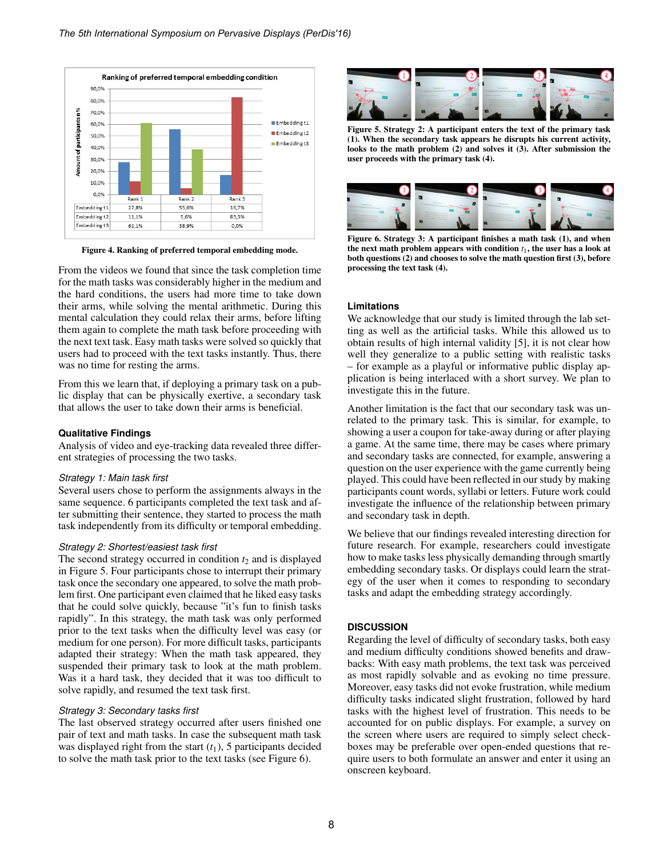

Figure 4. Ranking of preferred temporal embedding mode.

From the videos we found that since the task completion time for the math tasks was considerably higher in the medium and the hard conditions, the users had more time to take down their arms, while solving the mental arithmetic. During this mental calculation they could relax their arms, before lifting them again to complete the math task before proceeding with the next text task. Easy math tasks were solved so quickly that users had to proceed with the text tasks instantly. Thus, there was no time for resting the arms.

From this we learn that, if deploying a primary task on a public display that can be physically exertive, a secondary task that allows the user to take down their arms is beneficial.

#### **Qualitative Findings**

Analysis of video and eye-tracking data revealed three different strategies of processing the two tasks.

#### *Strategy 1: Main task first*

Several users chose to perform the assignments always in the same sequence. 6 participants completed the text task and after submitting their sentence, they started to process the math task independently from its difficulty or temporal embedding.

#### *Strategy 2: Shortest/easiest task first*

The second strategy occurred in condition  $t_2$  and is displayed in Figure 5. Four participants chose to interrupt their primary task once the secondary one appeared, to solve the math problem first. One participant even claimed that he liked easy tasks that he could solve quickly, because "it's fun to finish tasks rapidly". In this strategy, the math task was only performed prior to the text tasks when the difficulty level was easy (or medium for one person). For more difficult tasks, participants adapted their strategy: When the math task appeared, they suspended their primary task to look at the math problem. Was it a hard task, they decided that it was too difficult to solve rapidly, and resumed the text task first.

#### *Strategy 3: Secondary tasks first*

The last observed strategy occurred after users finished one pair of text and math tasks. In case the subsequent math task was displayed right from the start  $(t_1)$ , 5 participants decided to solve the math task prior to the text tasks (see Figure 6).



Figure 5. Strategy 2: A participant enters the text of the primary task (1). When the secondary task appears he disrupts his current activity, looks to the math problem (2) and solves it (3). After submission the user proceeds with the primary task (4).



Figure 6. Strategy 3: A participant finishes a math task (1), and when the next math problem appears with condition  $t_1$ , the user has a look at both questions (2) and chooses to solve the math question first (3), before processing the text task (4).

#### **Limitations**

We acknowledge that our study is limited through the lab setting as well as the artificial tasks. While this allowed us to obtain results of high internal validity [5], it is not clear how well they generalize to a public setting with realistic tasks – for example as a playful or informative public display application is being interlaced with a short survey. We plan to investigate this in the future.

Another limitation is the fact that our secondary task was unrelated to the primary task. This is similar, for example, to showing a user a coupon for take-away during or after playing a game. At the same time, there may be cases where primary and secondary tasks are connected, for example, answering a question on the user experience with the game currently being played. This could have been reflected in our study by making participants count words, syllabi or letters. Future work could investigate the influence of the relationship between primary and secondary task in depth.

We believe that our findings revealed interesting direction for future research. For example, researchers could investigate how to make tasks less physically demanding through smartly embedding secondary tasks. Or displays could learn the strategy of the user when it comes to responding to secondary tasks and adapt the embedding strategy accordingly.

#### **DISCUSSION**

Regarding the level of difficulty of secondary tasks, both easy and medium difficulty conditions showed benefits and drawbacks: With easy math problems, the text task was perceived as most rapidly solvable and as evoking no time pressure. Moreover, easy tasks did not evoke frustration, while medium difficulty tasks indicated slight frustration, followed by hard tasks with the highest level of frustration. This needs to be accounted for on public displays. For example, a survey on the screen where users are required to simply select checkboxes may be preferable over open-ended questions that require users to both formulate an answer and enter it using an onscreen keyboard.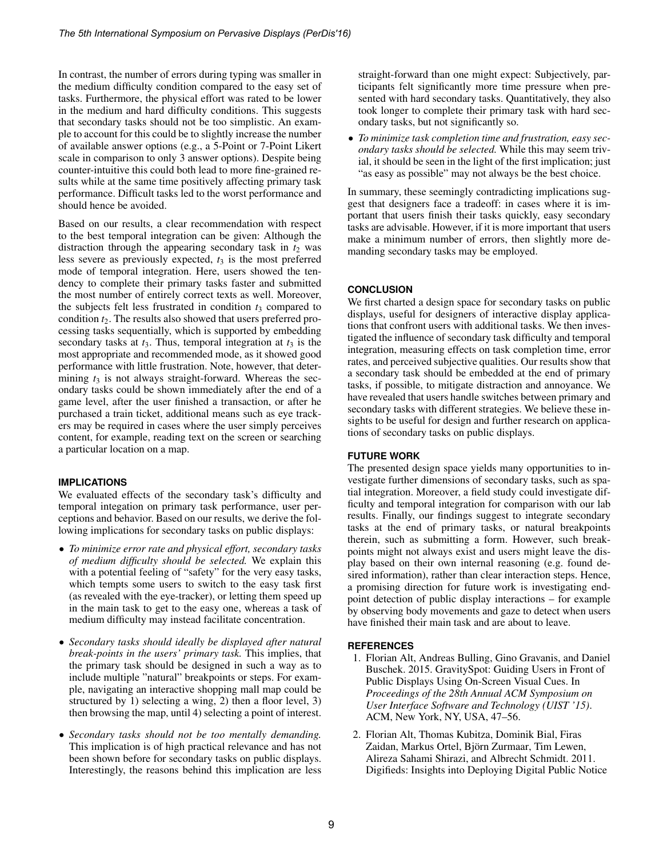In contrast, the number of errors during typing was smaller in the medium difficulty condition compared to the easy set of tasks. Furthermore, the physical effort was rated to be lower in the medium and hard difficulty conditions. This suggests that secondary tasks should not be too simplistic. An example to account for this could be to slightly increase the number of available answer options (e.g., a 5-Point or 7-Point Likert scale in comparison to only 3 answer options). Despite being counter-intuitive this could both lead to more fine-grained results while at the same time positively affecting primary task performance. Difficult tasks led to the worst performance and should hence be avoided.

Based on our results, a clear recommendation with respect to the best temporal integration can be given: Although the distraction through the appearing secondary task in  $t_2$  was less severe as previously expected,  $t_3$  is the most preferred mode of temporal integration. Here, users showed the tendency to complete their primary tasks faster and submitted the most number of entirely correct texts as well. Moreover, the subjects felt less frustrated in condition  $t_3$  compared to condition *t*2. The results also showed that users preferred processing tasks sequentially, which is supported by embedding secondary tasks at  $t_3$ . Thus, temporal integration at  $t_3$  is the most appropriate and recommended mode, as it showed good performance with little frustration. Note, however, that determining  $t_3$  is not always straight-forward. Whereas the secondary tasks could be shown immediately after the end of a game level, after the user finished a transaction, or after he purchased a train ticket, additional means such as eye trackers may be required in cases where the user simply perceives content, for example, reading text on the screen or searching a particular location on a map.

## **IMPLICATIONS**

We evaluated effects of the secondary task's difficulty and temporal integation on primary task performance, user perceptions and behavior. Based on our results, we derive the following implications for secondary tasks on public displays:

- *To minimize error rate and physical effort, secondary tasks of medium difficulty should be selected.* We explain this with a potential feeling of "safety" for the very easy tasks, which tempts some users to switch to the easy task first (as revealed with the eye-tracker), or letting them speed up in the main task to get to the easy one, whereas a task of medium difficulty may instead facilitate concentration.
- *Secondary tasks should ideally be displayed after natural break-points in the users' primary task.* This implies, that the primary task should be designed in such a way as to include multiple "natural" breakpoints or steps. For example, navigating an interactive shopping mall map could be structured by 1) selecting a wing, 2) then a floor level, 3) then browsing the map, until 4) selecting a point of interest.
- *Secondary tasks should not be too mentally demanding.* This implication is of high practical relevance and has not been shown before for secondary tasks on public displays. Interestingly, the reasons behind this implication are less

straight-forward than one might expect: Subjectively, participants felt significantly more time pressure when presented with hard secondary tasks. Quantitatively, they also took longer to complete their primary task with hard secondary tasks, but not significantly so.

• *To minimize task completion time and frustration, easy secondary tasks should be selected.* While this may seem trivial, it should be seen in the light of the first implication; just "as easy as possible" may not always be the best choice.

In summary, these seemingly contradicting implications suggest that designers face a tradeoff: in cases where it is important that users finish their tasks quickly, easy secondary tasks are advisable. However, if it is more important that users make a minimum number of errors, then slightly more demanding secondary tasks may be employed.

## **CONCLUSION**

We first charted a design space for secondary tasks on public displays, useful for designers of interactive display applications that confront users with additional tasks. We then investigated the influence of secondary task difficulty and temporal integration, measuring effects on task completion time, error rates, and perceived subjective qualities. Our results show that a secondary task should be embedded at the end of primary tasks, if possible, to mitigate distraction and annoyance. We have revealed that users handle switches between primary and secondary tasks with different strategies. We believe these insights to be useful for design and further research on applications of secondary tasks on public displays.

## **FUTURE WORK**

The presented design space yields many opportunities to investigate further dimensions of secondary tasks, such as spatial integration. Moreover, a field study could investigate difficulty and temporal integration for comparison with our lab results. Finally, our findings suggest to integrate secondary tasks at the end of primary tasks, or natural breakpoints therein, such as submitting a form. However, such breakpoints might not always exist and users might leave the display based on their own internal reasoning (e.g. found desired information), rather than clear interaction steps. Hence, a promising direction for future work is investigating endpoint detection of public display interactions – for example by observing body movements and gaze to detect when users have finished their main task and are about to leave.

## **REFERENCES**

- 1. Florian Alt, Andreas Bulling, Gino Gravanis, and Daniel Buschek. 2015. GravitySpot: Guiding Users in Front of Public Displays Using On-Screen Visual Cues. In *Proceedings of the 28th Annual ACM Symposium on User Interface Software and Technology (UIST '15)*. ACM, New York, NY, USA, 47–56.
- 2. Florian Alt, Thomas Kubitza, Dominik Bial, Firas Zaidan, Markus Ortel, Björn Zurmaar, Tim Lewen, Alireza Sahami Shirazi, and Albrecht Schmidt. 2011. Digifieds: Insights into Deploying Digital Public Notice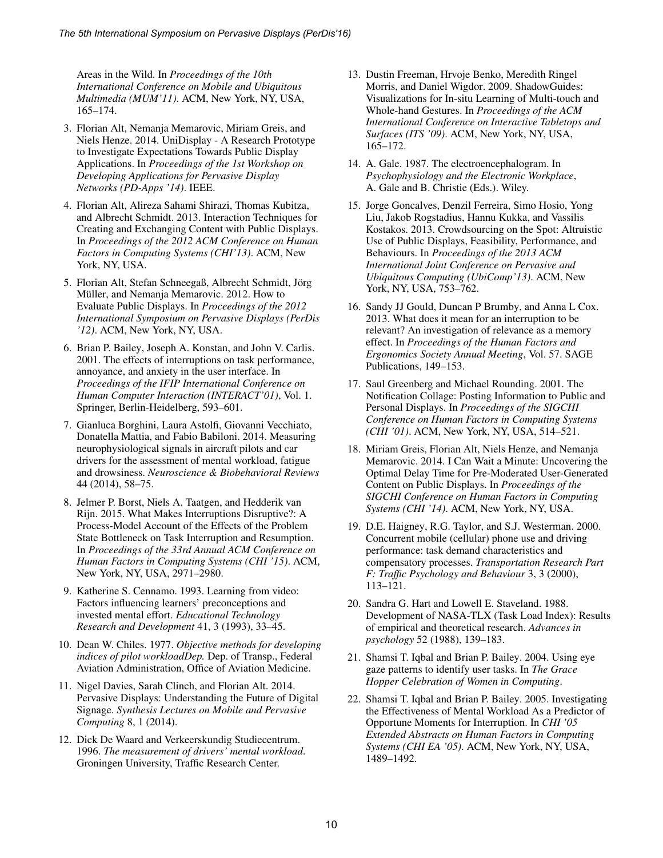Areas in the Wild. In *Proceedings of the 10th International Conference on Mobile and Ubiquitous Multimedia (MUM'11)*. ACM, New York, NY, USA, 165–174.

- 3. Florian Alt, Nemanja Memarovic, Miriam Greis, and Niels Henze. 2014. UniDisplay - A Research Prototype to Investigate Expectations Towards Public Display Applications. In *Proceedings of the 1st Workshop on Developing Applications for Pervasive Display Networks (PD-Apps '14)*. IEEE.
- 4. Florian Alt, Alireza Sahami Shirazi, Thomas Kubitza, and Albrecht Schmidt. 2013. Interaction Techniques for Creating and Exchanging Content with Public Displays. In *Proceedings of the 2012 ACM Conference on Human Factors in Computing Systems (CHI'13)*. ACM, New York, NY, USA.
- 5. Florian Alt, Stefan Schneegaß, Albrecht Schmidt, Jörg Müller, and Nemanja Memarovic. 2012. How to Evaluate Public Displays. In *Proceedings of the 2012 International Symposium on Pervasive Displays (PerDis '12)*. ACM, New York, NY, USA.
- 6. Brian P. Bailey, Joseph A. Konstan, and John V. Carlis. 2001. The effects of interruptions on task performance, annoyance, and anxiety in the user interface. In *Proceedings of the IFIP International Conference on Human Computer Interaction (INTERACT'01)*, Vol. 1. Springer, Berlin-Heidelberg, 593–601.
- 7. Gianluca Borghini, Laura Astolfi, Giovanni Vecchiato, Donatella Mattia, and Fabio Babiloni. 2014. Measuring neurophysiological signals in aircraft pilots and car drivers for the assessment of mental workload, fatigue and drowsiness. *Neuroscience & Biobehavioral Reviews* 44 (2014), 58–75.
- 8. Jelmer P. Borst, Niels A. Taatgen, and Hedderik van Rijn. 2015. What Makes Interruptions Disruptive?: A Process-Model Account of the Effects of the Problem State Bottleneck on Task Interruption and Resumption. In *Proceedings of the 33rd Annual ACM Conference on Human Factors in Computing Systems (CHI '15)*. ACM, New York, NY, USA, 2971–2980.
- 9. Katherine S. Cennamo. 1993. Learning from video: Factors influencing learners' preconceptions and invested mental effort. *Educational Technology Research and Development* 41, 3 (1993), 33–45.
- 10. Dean W. Chiles. 1977. *Objective methods for developing indices of pilot workloadDep.* Dep. of Transp., Federal Aviation Administration, Office of Aviation Medicine.
- 11. Nigel Davies, Sarah Clinch, and Florian Alt. 2014. Pervasive Displays: Understanding the Future of Digital Signage. *Synthesis Lectures on Mobile and Pervasive Computing* 8, 1 (2014).
- 12. Dick De Waard and Verkeerskundig Studiecentrum. 1996. *The measurement of drivers' mental workload*. Groningen University, Traffic Research Center.
- 13. Dustin Freeman, Hrvoje Benko, Meredith Ringel Morris, and Daniel Wigdor. 2009. ShadowGuides: Visualizations for In-situ Learning of Multi-touch and Whole-hand Gestures. In *Proceedings of the ACM International Conference on Interactive Tabletops and Surfaces (ITS '09)*. ACM, New York, NY, USA, 165–172.
- 14. A. Gale. 1987. The electroencephalogram. In *Psychophysiology and the Electronic Workplace*, A. Gale and B. Christie (Eds.). Wiley.
- 15. Jorge Goncalves, Denzil Ferreira, Simo Hosio, Yong Liu, Jakob Rogstadius, Hannu Kukka, and Vassilis Kostakos. 2013. Crowdsourcing on the Spot: Altruistic Use of Public Displays, Feasibility, Performance, and Behaviours. In *Proceedings of the 2013 ACM International Joint Conference on Pervasive and Ubiquitous Computing (UbiComp'13)*. ACM, New York, NY, USA, 753–762.
- 16. Sandy JJ Gould, Duncan P Brumby, and Anna L Cox. 2013. What does it mean for an interruption to be relevant? An investigation of relevance as a memory effect. In *Proceedings of the Human Factors and Ergonomics Society Annual Meeting*, Vol. 57. SAGE Publications, 149–153.
- 17. Saul Greenberg and Michael Rounding. 2001. The Notification Collage: Posting Information to Public and Personal Displays. In *Proceedings of the SIGCHI Conference on Human Factors in Computing Systems (CHI '01)*. ACM, New York, NY, USA, 514–521.
- 18. Miriam Greis, Florian Alt, Niels Henze, and Nemanja Memarovic. 2014. I Can Wait a Minute: Uncovering the Optimal Delay Time for Pre-Moderated User-Generated Content on Public Displays. In *Proceedings of the SIGCHI Conference on Human Factors in Computing Systems (CHI '14)*. ACM, New York, NY, USA.
- 19. D.E. Haigney, R.G. Taylor, and S.J. Westerman. 2000. Concurrent mobile (cellular) phone use and driving performance: task demand characteristics and compensatory processes. *Transportation Research Part F: Traffic Psychology and Behaviour* 3, 3 (2000), 113–121.
- 20. Sandra G. Hart and Lowell E. Staveland. 1988. Development of NASA-TLX (Task Load Index): Results of empirical and theoretical research. *Advances in psychology* 52 (1988), 139–183.
- 21. Shamsi T. Iqbal and Brian P. Bailey. 2004. Using eye gaze patterns to identify user tasks. In *The Grace Hopper Celebration of Women in Computing*.
- 22. Shamsi T. Iqbal and Brian P. Bailey. 2005. Investigating the Effectiveness of Mental Workload As a Predictor of Opportune Moments for Interruption. In *CHI '05 Extended Abstracts on Human Factors in Computing Systems (CHI EA '05)*. ACM, New York, NY, USA, 1489–1492.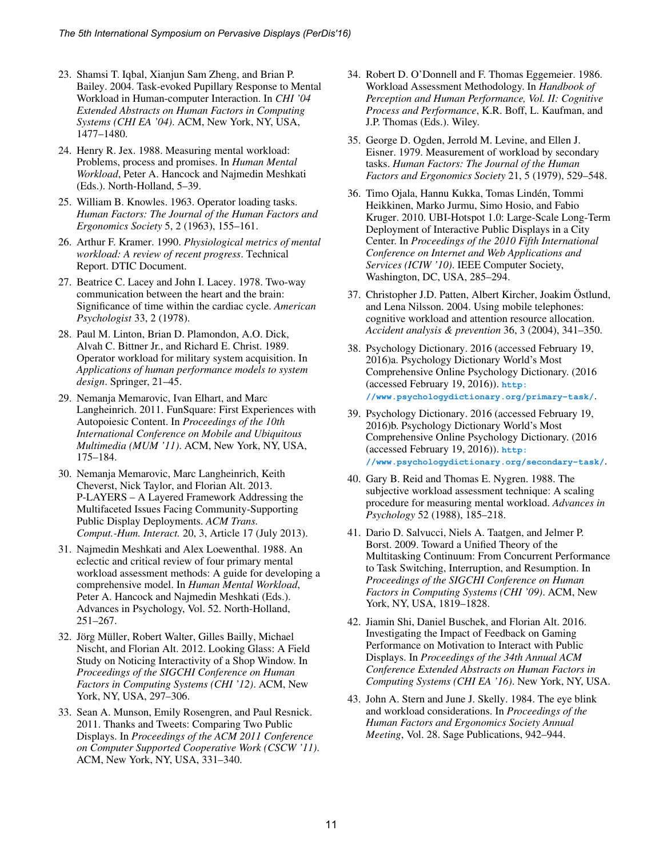- 23. Shamsi T. Iqbal, Xianjun Sam Zheng, and Brian P. Bailey. 2004. Task-evoked Pupillary Response to Mental Workload in Human-computer Interaction. In *CHI '04 Extended Abstracts on Human Factors in Computing Systems (CHI EA '04)*. ACM, New York, NY, USA, 1477–1480.
- 24. Henry R. Jex. 1988. Measuring mental workload: Problems, process and promises. In *Human Mental Workload*, Peter A. Hancock and Najmedin Meshkati (Eds.). North-Holland, 5–39.
- 25. William B. Knowles. 1963. Operator loading tasks. *Human Factors: The Journal of the Human Factors and Ergonomics Society* 5, 2 (1963), 155–161.
- 26. Arthur F. Kramer. 1990. *Physiological metrics of mental workload: A review of recent progress*. Technical Report. DTIC Document.
- 27. Beatrice C. Lacey and John I. Lacey. 1978. Two-way communication between the heart and the brain: Significance of time within the cardiac cycle. *American Psychologist* 33, 2 (1978).
- 28. Paul M. Linton, Brian D. Plamondon, A.O. Dick, Alvah C. Bittner Jr., and Richard E. Christ. 1989. Operator workload for military system acquisition. In *Applications of human performance models to system design*. Springer, 21–45.
- 29. Nemanja Memarovic, Ivan Elhart, and Marc Langheinrich. 2011. FunSquare: First Experiences with Autopoiesic Content. In *Proceedings of the 10th International Conference on Mobile and Ubiquitous Multimedia (MUM '11)*. ACM, New York, NY, USA, 175–184.
- 30. Nemanja Memarovic, Marc Langheinrich, Keith Cheverst, Nick Taylor, and Florian Alt. 2013. P-LAYERS – A Layered Framework Addressing the Multifaceted Issues Facing Community-Supporting Public Display Deployments. *ACM Trans. Comput.-Hum. Interact.* 20, 3, Article 17 (July 2013).
- 31. Najmedin Meshkati and Alex Loewenthal. 1988. An eclectic and critical review of four primary mental workload assessment methods: A guide for developing a comprehensive model. In *Human Mental Workload*, Peter A. Hancock and Najmedin Meshkati (Eds.). Advances in Psychology, Vol. 52. North-Holland, 251–267.
- 32. Jörg Müller, Robert Walter, Gilles Bailly, Michael Nischt, and Florian Alt. 2012. Looking Glass: A Field Study on Noticing Interactivity of a Shop Window. In *Proceedings of the SIGCHI Conference on Human Factors in Computing Systems (CHI '12)*. ACM, New York, NY, USA, 297–306.
- 33. Sean A. Munson, Emily Rosengren, and Paul Resnick. 2011. Thanks and Tweets: Comparing Two Public Displays. In *Proceedings of the ACM 2011 Conference on Computer Supported Cooperative Work (CSCW '11)*. ACM, New York, NY, USA, 331–340.
- 34. Robert D. O'Donnell and F. Thomas Eggemeier. 1986. Workload Assessment Methodology. In *Handbook of Perception and Human Performance, Vol. II: Cognitive Process and Performance*, K.R. Boff, L. Kaufman, and J.P. Thomas (Eds.). Wiley.
- 35. George D. Ogden, Jerrold M. Levine, and Ellen J. Eisner. 1979. Measurement of workload by secondary tasks. *Human Factors: The Journal of the Human Factors and Ergonomics Society* 21, 5 (1979), 529–548.
- 36. Timo Ojala, Hannu Kukka, Tomas Linden, Tommi ´ Heikkinen, Marko Jurmu, Simo Hosio, and Fabio Kruger. 2010. UBI-Hotspot 1.0: Large-Scale Long-Term Deployment of Interactive Public Displays in a City Center. In *Proceedings of the 2010 Fifth International Conference on Internet and Web Applications and Services (ICIW '10)*. IEEE Computer Society, Washington, DC, USA, 285–294.
- 37. Christopher J.D. Patten, Albert Kircher, Joakim Ostlund, ¨ and Lena Nilsson. 2004. Using mobile telephones: cognitive workload and attention resource allocation. *Accident analysis & prevention* 36, 3 (2004), 341–350.
- 38. Psychology Dictionary. 2016 (accessed February 19, 2016)a. Psychology Dictionary World's Most Comprehensive Online Psychology Dictionary. (2016 (accessed February 19, 2016)). **[http:](http://www.psychologydictionary.org/primary-task/) [//www.psychologydictionary.org/primary-task/](http://www.psychologydictionary.org/primary-task/)**.
- 39. Psychology Dictionary. 2016 (accessed February 19, 2016)b. Psychology Dictionary World's Most Comprehensive Online Psychology Dictionary. (2016 (accessed February 19, 2016)). **[http:](http://www.psychologydictionary.org/secondary-task/) [//www.psychologydictionary.org/secondary-task/](http://www.psychologydictionary.org/secondary-task/)**.
- 40. Gary B. Reid and Thomas E. Nygren. 1988. The subjective workload assessment technique: A scaling procedure for measuring mental workload. *Advances in Psychology* 52 (1988), 185–218.
- 41. Dario D. Salvucci, Niels A. Taatgen, and Jelmer P. Borst. 2009. Toward a Unified Theory of the Multitasking Continuum: From Concurrent Performance to Task Switching, Interruption, and Resumption. In *Proceedings of the SIGCHI Conference on Human Factors in Computing Systems (CHI '09)*. ACM, New York, NY, USA, 1819–1828.
- 42. Jiamin Shi, Daniel Buschek, and Florian Alt. 2016. Investigating the Impact of Feedback on Gaming Performance on Motivation to Interact with Public Displays. In *Proceedings of the 34th Annual ACM Conference Extended Abstracts on Human Factors in Computing Systems (CHI EA '16)*. New York, NY, USA.
- 43. John A. Stern and June J. Skelly. 1984. The eye blink and workload considerations. In *Proceedings of the Human Factors and Ergonomics Society Annual Meeting*, Vol. 28. Sage Publications, 942–944.